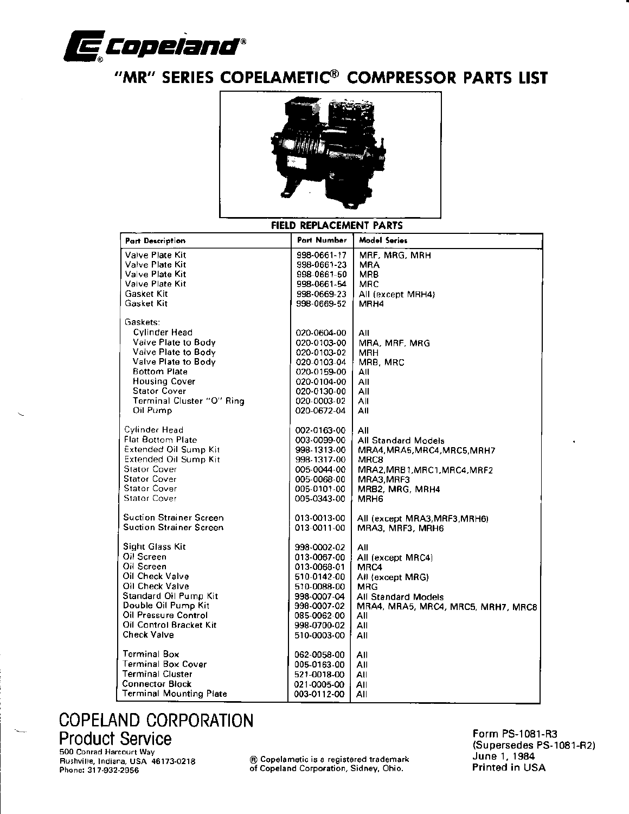

## "MR" SERIES COPELAMETIC® COMPRESSOR PARTS LIST



#### **FIELD REPLACEMENT PARTS**

| <b>Part Description</b>        | <b>Part Number</b> | <b>Model Series</b>                |
|--------------------------------|--------------------|------------------------------------|
| Valve Plate Kit                | 998-0661-17        | MRF, MRG, MRH                      |
| Valve Plate Kit                | 998-0661-23        | MRA                                |
| Valve Plate Kit                | 998-0661-50        | MRB.                               |
| Valve Plate Kit                | 998-0661-54        | MRC                                |
| <b>Gasket Kit</b>              | 998-0669-23        | All (except MRH4)                  |
| Gasket Kit                     | 998-0669-52        | MRH4                               |
| Gaskets:                       |                    |                                    |
| <b>Cylinder Head</b>           | 020-0604-00        | All                                |
| Valve Plate to Body            | 020-0103-00        | MRA, MRF, MRG                      |
| Valve Plate to Body            | 020-0103-02        | MRH                                |
| Valve Plate to Body            | 020-0103-04        | MRB, MRC                           |
| <b>Bottom Plate</b>            | 020-0159-00        | All                                |
| <b>Housing Cover</b>           | 020-0104-00        | All                                |
| <b>Stator Cover</b>            | 020-0130-00        | All                                |
| Terminal Cluster "O" Ring      | 020-0003-02        | All                                |
| Oil Pump                       | 020-0672-04        | All                                |
| Cylinder Head                  | 002-0163-00        | All                                |
| <b>Flat Bottom Plate</b>       | 003-0099-00        | All Standard Models                |
| Extended Oil Sump Kit          | 998-1313-00        | MRA4, MRA5, MRC4, MRC5, MRH7       |
| Extended Oil Sump Kit          | 998-1317-00        | MRC8                               |
| <b>Stator Cover</b>            | 005-0044-00        | MRA2, MRB1, MRC1, MRC4, MRF2       |
| <b>Stator Cover</b>            | 005-0068-00        | MRA3, MRF3                         |
| <b>Stator Cover</b>            | 005-0101-00        | MRB2, MRG, MRH4                    |
| <b>Stator Cover</b>            | 005-0343-00        | MRH6                               |
| <b>Suction Strainer Screen</b> | 013-0013-00        | All (except MRA3, MRF3, MRH6)      |
| Suction Strainer Screen        | 013-0011-00        | MRA3, MRF3, MRH6                   |
| Sight Glass Kit                | 998-0002-02        | All                                |
| Oil Screen                     | 013-0067-00        | All (except MRC4)                  |
| Oil Screen                     | 013-0068-01        | MRC4                               |
| Oil Check Valve                | 510-0142-00        | All (except MRG)                   |
| Oil Check Valve                | 510-0088-00        | MRG                                |
| Standard Oil Pump Kit          | 998-0007-04        | All Standard Models                |
| Double Oil Pump Kit            | 998-0007-02        | MRA4, MRA5, MRC4, MRC5, MRH7, MRC8 |
| Oil Pressure Control           | 085-0062-00        | All                                |
| Oil Control Bracket Kit        | 998-0700-02        | All                                |
| Check Valve                    | 510-0003-00        | All                                |
| <b>Terminal Box</b>            | 062-0058-00        | All                                |
| <b>Terminal Box Cover</b>      | 005-0163-00        | All                                |
| <b>Terminal Cluster</b>        | 521-0018-00        | All                                |
| <b>Connector Block</b>         | 021-0005-00        | All                                |
| <b>Terminal Mounting Plate</b> | 003-0112-00        | All                                |

# **COPELAND CORPORATION Product Service**

500 Conrad Harcourt Way Rushville, Indiana, USA 46173-0218 Phone: 317-932-2956

® Copelametic is a registered trademark of Copeland Corporation, Sidney, Ohio.

Form PS-1081-R3 (Supersedes PS-1081-R2) June 1, 1984 Printed in USA